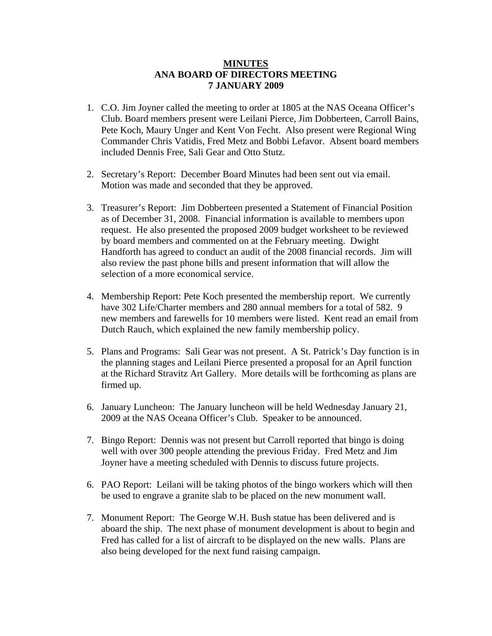## **MINUTES ANA BOARD OF DIRECTORS MEETING 7 JANUARY 2009**

- 1. C.O. Jim Joyner called the meeting to order at 1805 at the NAS Oceana Officer's Club. Board members present were Leilani Pierce, Jim Dobberteen, Carroll Bains, Pete Koch, Maury Unger and Kent Von Fecht. Also present were Regional Wing Commander Chris Vatidis, Fred Metz and Bobbi Lefavor. Absent board members included Dennis Free, Sali Gear and Otto Stutz.
- 2. Secretary's Report: December Board Minutes had been sent out via email. Motion was made and seconded that they be approved.
- 3. Treasurer's Report: Jim Dobberteen presented a Statement of Financial Position as of December 31, 2008. Financial information is available to members upon request. He also presented the proposed 2009 budget worksheet to be reviewed by board members and commented on at the February meeting. Dwight Handforth has agreed to conduct an audit of the 2008 financial records. Jim will also review the past phone bills and present information that will allow the selection of a more economical service.
- 4. Membership Report: Pete Koch presented the membership report. We currently have 302 Life/Charter members and 280 annual members for a total of 582. 9 new members and farewells for 10 members were listed. Kent read an email from Dutch Rauch, which explained the new family membership policy.
- 5. Plans and Programs: Sali Gear was not present. A St. Patrick's Day function is in the planning stages and Leilani Pierce presented a proposal for an April function at the Richard Stravitz Art Gallery. More details will be forthcoming as plans are firmed up.
- 6. January Luncheon: The January luncheon will be held Wednesday January 21, 2009 at the NAS Oceana Officer's Club. Speaker to be announced.
- 7. Bingo Report: Dennis was not present but Carroll reported that bingo is doing well with over 300 people attending the previous Friday. Fred Metz and Jim Joyner have a meeting scheduled with Dennis to discuss future projects.
- 6. PAO Report: Leilani will be taking photos of the bingo workers which will then be used to engrave a granite slab to be placed on the new monument wall.
- 7. Monument Report: The George W.H. Bush statue has been delivered and is aboard the ship. The next phase of monument development is about to begin and Fred has called for a list of aircraft to be displayed on the new walls. Plans are also being developed for the next fund raising campaign.